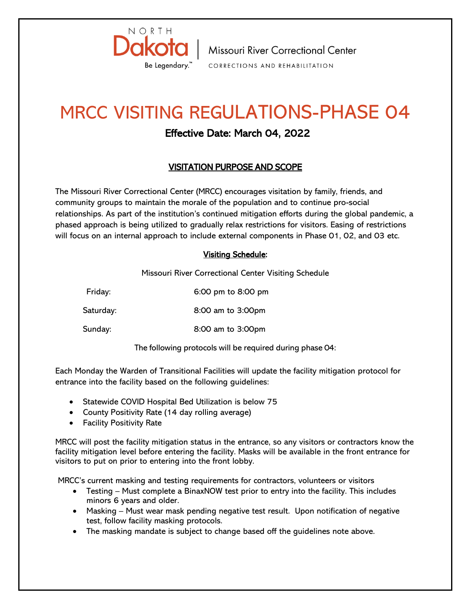

| Missouri River Correctional Center CORRECTIONS AND REHABILITATION

## MRCC VISITING REGULATIONS-PHASE 04

## Effective Date: March 04, 2022

## VISITATION PURPOSE AND SCOPE

The Missouri River Correctional Center (MRCC) encourages visitation by family, friends, and community groups to maintain the morale of the population and to continue pro-social relationships. As part of the institution's continued mitigation efforts during the global pandemic, a phased approach is being utilized to gradually relax restrictions for visitors. Easing of restrictions will focus on an internal approach to include external components in Phase 01, 02, and 03 etc.

## Visiting Schedule:

Missouri River Correctional Center Visiting Schedule

Friday: 6:00 pm to 8:00 pm Saturday: 8:00 am to 3:00pm Sunday: 8:00 am to 3:00pm

The following protocols will be required during phase 04:

Each Monday the Warden of Transitional Facilities will update the facility mitigation protocol for entrance into the facility based on the following guidelines:

- Statewide COVID Hospital Bed Utilization is below 75
- County Positivity Rate (14 day rolling average)
- Facility Positivity Rate

MRCC will post the facility mitigation status in the entrance, so any visitors or contractors know the facility mitigation level before entering the facility. Masks will be available in the front entrance for visitors to put on prior to entering into the front lobby.

MRCC's current masking and testing requirements for contractors, volunteers or visitors

- Testing Must complete a BinaxNOW test prior to entry into the facility. This includes minors 6 years and older.
- Masking Must wear mask pending negative test result. Upon notification of negative test, follow facility masking protocols.
- The masking mandate is subject to change based off the guidelines note above.